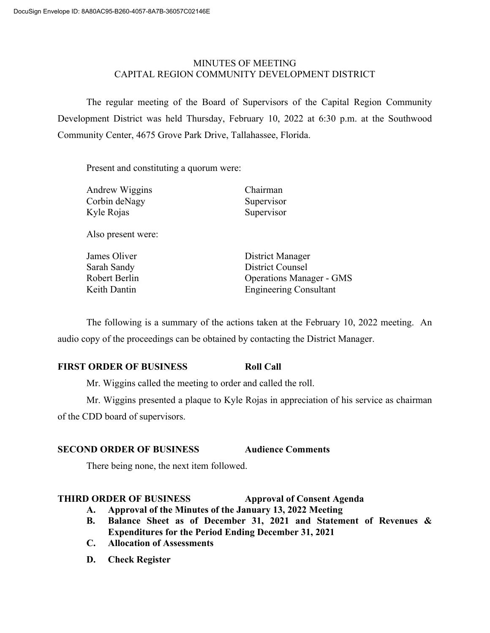## MINUTES OF MEETING CAPITAL REGION COMMUNITY DEVELOPMENT DISTRICT

The regular meeting of the Board of Supervisors of the Capital Region Community Development District was held Thursday, February 10, 2022 at 6:30 p.m. at the Southwood Community Center, 4675 Grove Park Drive, Tallahassee, Florida.

Present and constituting a quorum were:

| Andrew Wiggins | Chairman   |
|----------------|------------|
| Corbin deNagy  | Supervisor |
| Kyle Rojas     | Supervisor |
|                |            |

Also present were:

**James Oliver Communist Communist Communist Communist Communist Communist Communist Communist Communist Communist Communist Communist Communist Communist Communist Communist Communist Communist Communist Communist Communis** Sarah Sandy District Counsel Robert Berlin Operations Manager - GMS Keith Dantin Engineering Consultant

The following is a summary of the actions taken at the February 10, 2022 meeting. An audio copy of the proceedings can be obtained by contacting the District Manager.

# **FIRST ORDER OF BUSINESS Roll Call**

Mr. Wiggins called the meeting to order and called the roll.

Mr. Wiggins presented a plaque to Kyle Rojas in appreciation of his service as chairman of the CDD board of supervisors.

# **SECOND ORDER OF BUSINESS Audience Comments**

There being none, the next item followed.

# **THIRD ORDER OF BUSINESS Approval of Consent Agenda**

- **A. Approval of the Minutes of the January 13, 2022 Meeting**
- **B. Balance Sheet as of December 31, 2021 and Statement of Revenues & Expenditures for the Period Ending December 31, 2021**
- **C. Allocation of Assessments**
- **D. Check Register**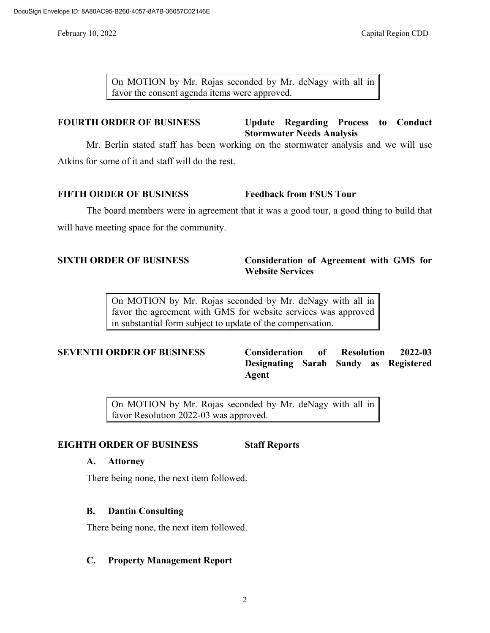On MOTION by Mr. Rojas seconded by Mr. deNagy with all in favor the consent agenda items were approved.

# **FOURTH ORDER OF BUSINESS Update Regarding Process to Conduct Stormwater Needs Analysis**

Mr. Berlin stated staff has been working on the stormwater analysis and we will use Atkins for some of it and staff will do the rest.

# **FIFTH ORDER OF BUSINESS Feedback from FSUS Tour**

The board members were in agreement that it was a good tour, a good thing to build that will have meeting space for the community.

## **SIXTH ORDER OF BUSINESS Consideration of Agreement with GMS for Website Services**

On MOTION by Mr. Rojas seconded by Mr. deNagy with all in favor the agreement with GMS for website services was approved in substantial form subject to update of the compensation.

**SEVENTH ORDER OF BUSINESS Consideration of Resolution 2022-03 Designating Sarah Sandy as Registered Agent** 

> On MOTION by Mr. Rojas seconded by Mr. deNagy with all in favor Resolution 2022-03 was approved.

# **EIGHTH ORDER OF BUSINESS Staff Reports**

## **A. Attorney**

There being none, the next item followed.

## **B. Dantin Consulting**

There being none, the next item followed.

# **C. Property Management Report**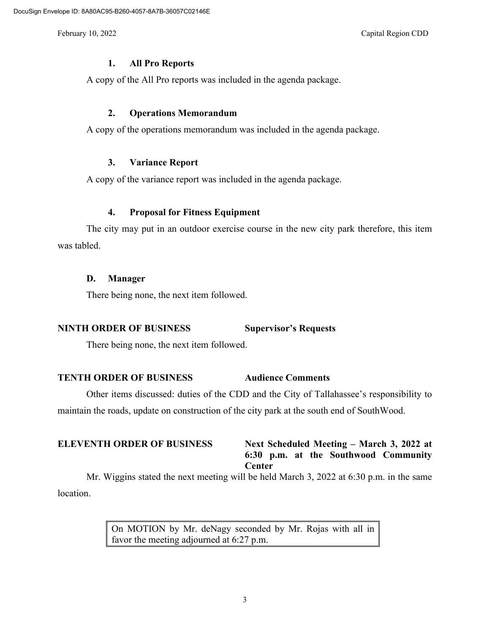#### **1. All Pro Reports**

A copy of the All Pro reports was included in the agenda package.

#### **2. Operations Memorandum**

A copy of the operations memorandum was included in the agenda package.

#### **3. Variance Report**

A copy of the variance report was included in the agenda package.

## **4. Proposal for Fitness Equipment**

The city may put in an outdoor exercise course in the new city park therefore, this item was tabled.

#### **D. Manager**

There being none, the next item followed.

## **NINTH ORDER OF BUSINESS Supervisor's Requests**

There being none, the next item followed.

## **TENTH ORDER OF BUSINESS Audience Comments**

Other items discussed: duties of the CDD and the City of Tallahassee's responsibility to maintain the roads, update on construction of the city park at the south end of SouthWood.

## **ELEVENTH ORDER OF BUSINESS Next Scheduled Meeting – March 3, 2022 at 6:30 p.m. at the Southwood Community Center**

Mr. Wiggins stated the next meeting will be held March 3, 2022 at 6:30 p.m. in the same location.

> On MOTION by Mr. deNagy seconded by Mr. Rojas with all in favor the meeting adjourned at 6:27 p.m.